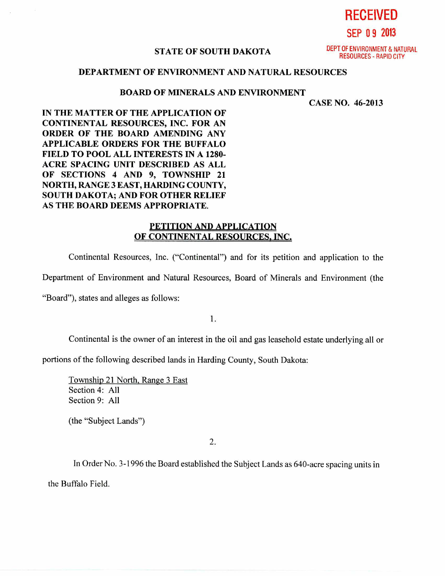**STATE OF SOUTH DAKOTA** 

DEPT OF ENVIRONMENT & NATURAL RESOURCES - RAPID CITY

**RECEIVED** 

**SEP 0 9 2013** 

## **DEPARTMENT OF ENVIRONMENT AND NATURAL RESOURCES**

## **BOARD OF MINERALS AND ENVIRONMENT**

**CASE NO. 46-2013** 

**IN THE MATTER OF THE APPLICATION OF CONTINENTAL RESOURCES, INC. FOR AN ORDER OF THE BOARD AMENDING ANY APPLICABLE ORDERS FOR THE BUFFALO FIELD TO POOL ALL INTERESTS IN A 1280- ACRE SPACING UNIT DESCRIBED AS ALL OF SECTIONS 4 AND 9, TOWNSHIP 21 NORTH, RANGE 3 EAST, HARDING COUNTY, SOUTH DAKOTA; AND FOR OTHER RELIEF AS THE BOARD DEEMS APPROPRIATE.** 

## **PETITION AND APPLICATION OF CONTINENTAL RESOURCES, INC.**

Continental Resources, Inc. ("Continental") and for its petition and application to the

Department of Environment and Natural Resources, Board of Minerals and Environment (the

"Board"), states and alleges as follows:

1.

Continental is the owner of an interest in the oil and gas leasehold estate underlying all or

portions of the following described lands in Harding County, South Dakota:

Township 21 North, Range 3 East Section 4: All Section 9: All

(the "Subject Lands")

2.

In Order No. 3-1996 the Board established the Subject Lands as 640-acre spacing units in the Buffalo Field.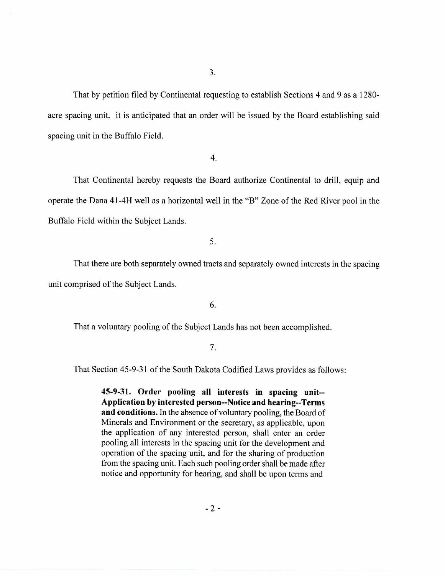That by petition filed by Continental requesting to establish Sections 4 and 9 as a 1280 acre spacing unit, it is anticipated that an order will be issued by the Board establishing said spacing unit in the Buffalo Field.

4.

That Continental hereby requests the Board authorize Continental to drill, equip and operate the Dana 41-4H well as a horizontal well in the "B" Zone of the Red River pool in the Buffalo Field within the Subject Lands.

5.

That there are both separately owned tracts and separately owned interests in the spacing unit comprised of the Subject Lands.

6.

That a voluntary pooling of the Subject Lands has not been accomplished.

## 7.

That Section 45-9-31 of the South Dakota Codified Laws provides as follows:

**45-9-31. Order pooling all interests in spacing unit-- Application by interested person--Notice and hearing--Terms and conditions.** In the absence of voluntary pooling, the Board of Minerals and Environment or the secretary, as applicable, upon the application of any interested person, shall enter an order pooling all interests in the spacing unit for the development and operation of the spacing unit, and for the sharing of production from the spacing unit. Each such pooling order shall be made after notice and opportunity for hearing, and shall be upon terms and

 $-2-$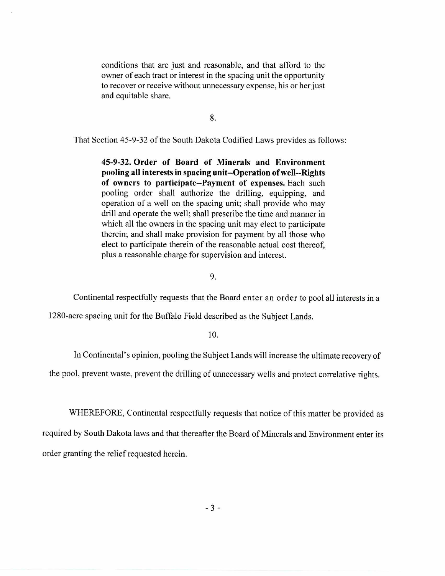conditions that are just and reasonable, and that afford to the owner of each tract or interest in the spacing unit the opportunity to recover or receive without unnecessary expense, his or her just and equitable share.

8.

That Section 45-9-32 of the South Dakota Codified Laws provides as follows:

**45-9-32. Order of Board of Minerals and Environment pooling all interests in spacing unit--Operation of well--Rights of owners to participate--Payment of expenses.** Each such pooling order shall authorize the drilling, equipping, and operation of a well on the spacing unit; shall provide who may drill and operate the well; shall prescribe the time and manner in which all the owners in the spacing unit may elect to participate therein; and shall make provision for payment by all those who elect to participate therein of the reasonable actual cost thereof, plus a reasonable charge for supervision and interest.

9.

Continental respectfully requests that the Board enter an order to pool all interests in a

1280-acre spacing unit for the Buffalo Field described as the Subject Lands.

10.

In Continental's opinion, pooling the Subject Lands will increase the ultimate recovery of

the pool, prevent waste, prevent the drilling of unnecessary wells and protect correlative rights.

WHEREFORE, Continental respectfully requests that notice of this matter be provided as

required by South Dakota laws and that thereafter the Board of Minerals and Environment enter its order granting the relief requested herein.